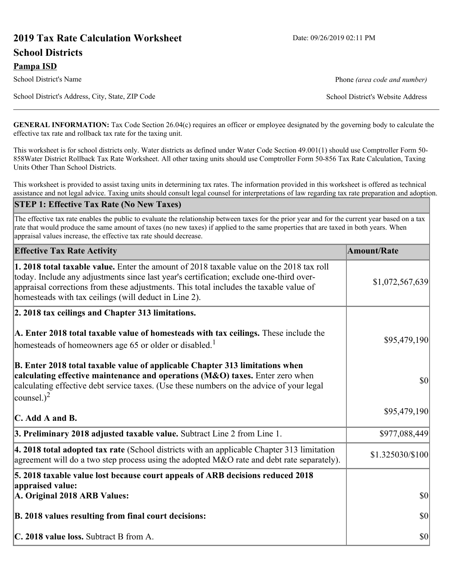# **2019 Tax Rate Calculation Worksheet** Date: 09/26/2019 02:11 PM

## **School Districts**

#### **Pampa ISD**

School District's Name **Phone** *(area code and number)* Phone *(area code and number)* 

School District's Address, City, State, ZIP Code School District's Website Address

**GENERAL INFORMATION:** Tax Code Section 26.04(c) requires an officer or employee designated by the governing body to calculate the effective tax rate and rollback tax rate for the taxing unit.

This worksheet is for school districts only. Water districts as defined under Water Code Section 49.001(1) should use Comptroller Form 50- 858Water District Rollback Tax Rate Worksheet. All other taxing units should use Comptroller Form 50-856 Tax Rate Calculation, Taxing Units Other Than School Districts.

This worksheet is provided to assist taxing units in determining tax rates. The information provided in this worksheet is offered as technical assistance and not legal advice. Taxing units should consult legal counsel for interpretations of law regarding tax rate preparation and adoption.

## **STEP 1: Effective Tax Rate (No New Taxes)**

The effective tax rate enables the public to evaluate the relationship between taxes for the prior year and for the current year based on a tax rate that would produce the same amount of taxes (no new taxes) if applied to the same properties that are taxed in both years. When appraisal values increase, the effective tax rate should decrease.

| <b>Effective Tax Rate Activity</b>                                                                                                                                                                                                                                                                                                            | <b>Amount/Rate</b> |
|-----------------------------------------------------------------------------------------------------------------------------------------------------------------------------------------------------------------------------------------------------------------------------------------------------------------------------------------------|--------------------|
| <b>1. 2018 total taxable value.</b> Enter the amount of 2018 taxable value on the 2018 tax roll<br>today. Include any adjustments since last year's certification; exclude one-third over-<br>appraisal corrections from these adjustments. This total includes the taxable value of<br>homesteads with tax ceilings (will deduct in Line 2). | \$1,072,567,639    |
| 2. 2018 tax ceilings and Chapter 313 limitations.                                                                                                                                                                                                                                                                                             |                    |
| A. Enter 2018 total taxable value of homesteads with tax ceilings. These include the<br>homesteads of homeowners age 65 or older or disabled. <sup>1</sup>                                                                                                                                                                                    | \$95,479,190       |
| B. Enter 2018 total taxable value of applicable Chapter 313 limitations when<br>calculating effective maintenance and operations (M&O) taxes. Enter zero when<br>calculating effective debt service taxes. (Use these numbers on the advice of your legal<br>counsel.) <sup>2</sup>                                                           | $ 10\rangle$       |
| $\mathbf C$ . Add A and B.                                                                                                                                                                                                                                                                                                                    | \$95,479,190       |
| 3. Preliminary 2018 adjusted taxable value. Subtract Line 2 from Line 1.                                                                                                                                                                                                                                                                      | \$977,088,449      |
| 4. 2018 total adopted tax rate (School districts with an applicable Chapter 313 limitation<br>agreement will do a two step process using the adopted M&O rate and debt rate separately).                                                                                                                                                      | \$1.325030/\$100   |
| 5. 2018 taxable value lost because court appeals of ARB decisions reduced 2018                                                                                                                                                                                                                                                                |                    |
| appraised value:<br>A. Original 2018 ARB Values:                                                                                                                                                                                                                                                                                              | $ 10\rangle$       |
| B. 2018 values resulting from final court decisions:                                                                                                                                                                                                                                                                                          | $ 10\rangle$       |
| C. 2018 value loss. Subtract B from A.                                                                                                                                                                                                                                                                                                        | $ 10\rangle$       |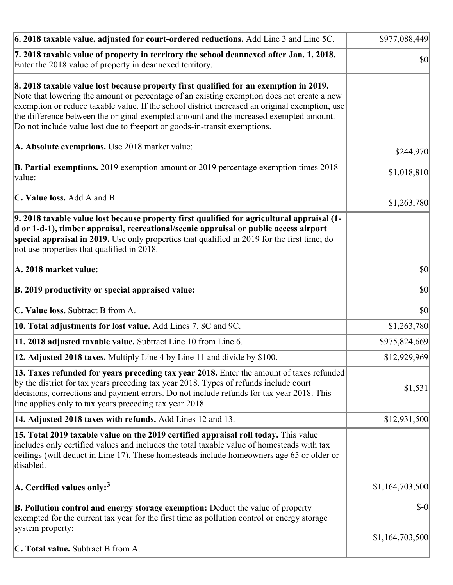| 6. 2018 taxable value, adjusted for court-ordered reductions. Add Line 3 and Line 5C.                                                                                                                                                                                                                                                                                                                                                                        | \$977,088,449   |
|--------------------------------------------------------------------------------------------------------------------------------------------------------------------------------------------------------------------------------------------------------------------------------------------------------------------------------------------------------------------------------------------------------------------------------------------------------------|-----------------|
| 7. 2018 taxable value of property in territory the school deannexed after Jan. 1, 2018.<br>Enter the 2018 value of property in deannexed territory.                                                                                                                                                                                                                                                                                                          | \$0             |
| 8. 2018 taxable value lost because property first qualified for an exemption in 2019.<br>Note that lowering the amount or percentage of an existing exemption does not create a new<br>exemption or reduce taxable value. If the school district increased an original exemption, use<br>the difference between the original exempted amount and the increased exempted amount.<br>Do not include value lost due to freeport or goods-in-transit exemptions. |                 |
| A. Absolute exemptions. Use 2018 market value:                                                                                                                                                                                                                                                                                                                                                                                                               | \$244,970       |
| <b>B. Partial exemptions.</b> 2019 exemption amount or 2019 percentage exemption times 2018<br>$\vert$ value:                                                                                                                                                                                                                                                                                                                                                | \$1,018,810     |
| C. Value loss. Add A and B.                                                                                                                                                                                                                                                                                                                                                                                                                                  | \$1,263,780     |
| 9. 2018 taxable value lost because property first qualified for agricultural appraisal (1-<br>d or 1-d-1), timber appraisal, recreational/scenic appraisal or public access airport<br>special appraisal in 2019. Use only properties that qualified in 2019 for the first time; do<br>not use properties that qualified in 2018.                                                                                                                            |                 |
| A. 2018 market value:                                                                                                                                                                                                                                                                                                                                                                                                                                        | $ 10\rangle$    |
| B. 2019 productivity or special appraised value:                                                                                                                                                                                                                                                                                                                                                                                                             | \$0             |
| C. Value loss. Subtract B from A.                                                                                                                                                                                                                                                                                                                                                                                                                            | \$0             |
| 10. Total adjustments for lost value. Add Lines 7, 8C and 9C.                                                                                                                                                                                                                                                                                                                                                                                                | \$1,263,780     |
| 11. 2018 adjusted taxable value. Subtract Line 10 from Line 6.                                                                                                                                                                                                                                                                                                                                                                                               | \$975,824,669   |
| <b>12. Adjusted 2018 taxes.</b> Multiply Line 4 by Line 11 and divide by \$100.                                                                                                                                                                                                                                                                                                                                                                              | \$12,929,969    |
| [13. Taxes refunded for years preceding tax year 2018. Enter the amount of taxes refunded]<br>by the district for tax years preceding tax year 2018. Types of refunds include court<br>decisions, corrections and payment errors. Do not include refunds for tax year 2018. This<br>line applies only to tax years preceding tax year 2018.                                                                                                                  | \$1,531         |
| 14. Adjusted 2018 taxes with refunds. Add Lines 12 and 13.                                                                                                                                                                                                                                                                                                                                                                                                   | \$12,931,500    |
| 15. Total 2019 taxable value on the 2019 certified appraisal roll today. This value<br>includes only certified values and includes the total taxable value of homesteads with tax<br>ceilings (will deduct in Line 17). These homesteads include homeowners age 65 or older or<br>disabled.                                                                                                                                                                  |                 |
| A. Certified values only: <sup>3</sup>                                                                                                                                                                                                                                                                                                                                                                                                                       | \$1,164,703,500 |
| <b>B. Pollution control and energy storage exemption:</b> Deduct the value of property<br>exempted for the current tax year for the first time as pollution control or energy storage<br>system property:                                                                                                                                                                                                                                                    | $S-0$           |
| <b>C. Total value.</b> Subtract B from A.                                                                                                                                                                                                                                                                                                                                                                                                                    | \$1,164,703,500 |
|                                                                                                                                                                                                                                                                                                                                                                                                                                                              |                 |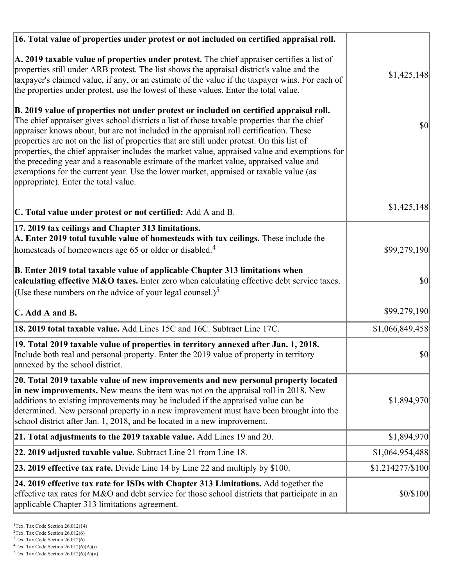| 16. Total value of properties under protest or not included on certified appraisal roll.                                                                                                                                                                                                                                                                                                                                                                                                                                                                                                                                                                                                                  |                  |
|-----------------------------------------------------------------------------------------------------------------------------------------------------------------------------------------------------------------------------------------------------------------------------------------------------------------------------------------------------------------------------------------------------------------------------------------------------------------------------------------------------------------------------------------------------------------------------------------------------------------------------------------------------------------------------------------------------------|------------------|
| A. 2019 taxable value of properties under protest. The chief appraiser certifies a list of<br>properties still under ARB protest. The list shows the appraisal district's value and the<br>taxpayer's claimed value, if any, or an estimate of the value if the taxpayer wins. For each of<br>the properties under protest, use the lowest of these values. Enter the total value.                                                                                                                                                                                                                                                                                                                        | \$1,425,148      |
| B. 2019 value of properties not under protest or included on certified appraisal roll.<br>The chief appraiser gives school districts a list of those taxable properties that the chief<br>appraiser knows about, but are not included in the appraisal roll certification. These<br>properties are not on the list of properties that are still under protest. On this list of<br>properties, the chief appraiser includes the market value, appraised value and exemptions for<br>the preceding year and a reasonable estimate of the market value, appraised value and<br>exemptions for the current year. Use the lower market, appraised or taxable value (as<br>appropriate). Enter the total value. | 30               |
| C. Total value under protest or not certified: Add A and B.                                                                                                                                                                                                                                                                                                                                                                                                                                                                                                                                                                                                                                               | \$1,425,148      |
| 17. 2019 tax ceilings and Chapter 313 limitations.<br>A. Enter 2019 total taxable value of homesteads with tax ceilings. These include the                                                                                                                                                                                                                                                                                                                                                                                                                                                                                                                                                                |                  |
| homesteads of homeowners age 65 or older or disabled. <sup>4</sup>                                                                                                                                                                                                                                                                                                                                                                                                                                                                                                                                                                                                                                        | \$99,279,190     |
| B. Enter 2019 total taxable value of applicable Chapter 313 limitations when<br>calculating effective M&O taxes. Enter zero when calculating effective debt service taxes.<br>(Use these numbers on the advice of your legal counsel.) <sup>5</sup>                                                                                                                                                                                                                                                                                                                                                                                                                                                       | \$0              |
|                                                                                                                                                                                                                                                                                                                                                                                                                                                                                                                                                                                                                                                                                                           |                  |
| C. Add A and B.                                                                                                                                                                                                                                                                                                                                                                                                                                                                                                                                                                                                                                                                                           | \$99,279,190     |
| 18. 2019 total taxable value. Add Lines 15C and 16C. Subtract Line 17C.                                                                                                                                                                                                                                                                                                                                                                                                                                                                                                                                                                                                                                   | \$1,066,849,458  |
| 19. Total 2019 taxable value of properties in territory annexed after Jan. 1, 2018.<br>Include both real and personal property. Enter the 2019 value of property in territory<br>annexed by the school district.                                                                                                                                                                                                                                                                                                                                                                                                                                                                                          | \$0              |
| 20. Total 2019 taxable value of new improvements and new personal property located<br>in new improvements. New means the item was not on the appraisal roll in 2018. New<br>additions to existing improvements may be included if the appraised value can be<br>determined. New personal property in a new improvement must have been brought into the<br>school district after Jan. 1, 2018, and be located in a new improvement.                                                                                                                                                                                                                                                                        | \$1,894,970      |
| 21. Total adjustments to the 2019 taxable value. Add Lines 19 and 20.                                                                                                                                                                                                                                                                                                                                                                                                                                                                                                                                                                                                                                     | \$1,894,970      |
| <b>22. 2019 adjusted taxable value.</b> Subtract Line 21 from Line 18.                                                                                                                                                                                                                                                                                                                                                                                                                                                                                                                                                                                                                                    | \$1,064,954,488  |
| 23. 2019 effective tax rate. Divide Line 14 by Line 22 and multiply by \$100.                                                                                                                                                                                                                                                                                                                                                                                                                                                                                                                                                                                                                             | \$1.214277/\$100 |
| 24. 2019 effective tax rate for ISDs with Chapter 313 Limitations. Add together the<br>effective tax rates for M&O and debt service for those school districts that participate in an<br>applicable Chapter 313 limitations agreement.                                                                                                                                                                                                                                                                                                                                                                                                                                                                    | \$0/\$100        |

 $2$ Tex. Tax Code Section 26.012(6)

<sup>&</sup>lt;sup>3</sup>Tex. Tax Code Section 26.012(6)

 ${}^{4}$ Tex. Tax Code Section 26.012(6)(A)(i)

 $5$ Tex. Tax Code Section 26.012(6)(A)(ii)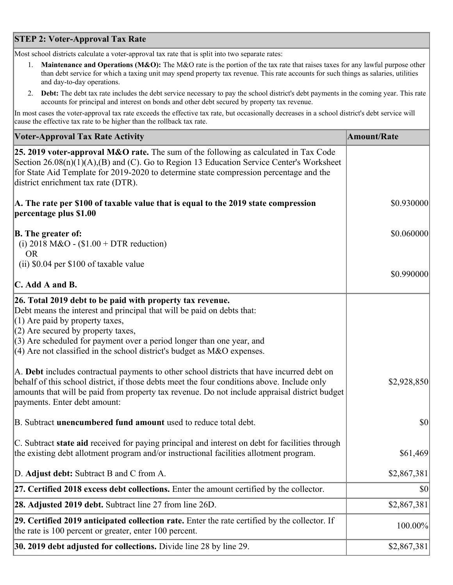## **STEP 2: Voter-Approval Tax Rate**

Most school districts calculate a voter-approval tax rate that is split into two separate rates:

- 1. **Maintenance and Operations (M&O):** The M&O rate is the portion of the tax rate that raises taxes for any lawful purpose other than debt service for which a taxing unit may spend property tax revenue. This rate accounts for such things as salaries, utilities and day-to-day operations.
- 2. **Debt:** The debt tax rate includes the debt service necessary to pay the school district's debt payments in the coming year. This rate accounts for principal and interest on bonds and other debt secured by property tax revenue.

In most cases the voter-approval tax rate exceeds the effective tax rate, but occasionally decreases in a school district's debt service will cause the effective tax rate to be higher than the rollback tax rate.

| <b>Voter-Approval Tax Rate Activity</b>                                                                                                                                                                                                                                                                                                                                  | <b>Amount/Rate</b> |
|--------------------------------------------------------------------------------------------------------------------------------------------------------------------------------------------------------------------------------------------------------------------------------------------------------------------------------------------------------------------------|--------------------|
| <b>25. 2019 voter-approval M&amp;O rate.</b> The sum of the following as calculated in Tax Code<br>Section 26.08(n)(1)(A),(B) and (C). Go to Region 13 Education Service Center's Worksheet<br>for State Aid Template for 2019-2020 to determine state compression percentage and the<br>district enrichment tax rate (DTR).                                             |                    |
| A. The rate per \$100 of taxable value that is equal to the 2019 state compression<br>percentage plus \$1.00                                                                                                                                                                                                                                                             | \$0.930000         |
| <b>B.</b> The greater of:<br>(i) 2018 M&O - $$1.00 + DTR$ reduction)<br><b>OR</b>                                                                                                                                                                                                                                                                                        | \$0.060000         |
| (ii) \$0.04 per \$100 of taxable value                                                                                                                                                                                                                                                                                                                                   |                    |
| $\mathbf C$ . Add A and B.                                                                                                                                                                                                                                                                                                                                               | \$0.990000         |
| 26. Total 2019 debt to be paid with property tax revenue.<br>Debt means the interest and principal that will be paid on debts that:<br>$(1)$ Are paid by property taxes,<br>$(2)$ Are secured by property taxes,<br>$(3)$ Are scheduled for payment over a period longer than one year, and<br>$(4)$ Are not classified in the school district's budget as M&O expenses. |                    |
| A. Debt includes contractual payments to other school districts that have incurred debt on<br>behalf of this school district, if those debts meet the four conditions above. Include only<br>amounts that will be paid from property tax revenue. Do not include appraisal district budget<br>payments. Enter debt amount:                                               | \$2,928,850        |
| B. Subtract unencumbered fund amount used to reduce total debt.                                                                                                                                                                                                                                                                                                          | $ 10\rangle$       |
| C. Subtract state aid received for paying principal and interest on debt for facilities through<br>the existing debt allotment program and/or instructional facilities allotment program.                                                                                                                                                                                | \$61,469           |
| D. Adjust debt: Subtract B and C from A.                                                                                                                                                                                                                                                                                                                                 | \$2,867,381        |
| 27. Certified 2018 excess debt collections. Enter the amount certified by the collector.                                                                                                                                                                                                                                                                                 | \$0                |
| <b>28. Adjusted 2019 debt.</b> Subtract line 27 from line 26D.                                                                                                                                                                                                                                                                                                           | \$2,867,381        |
| 29. Certified 2019 anticipated collection rate. Enter the rate certified by the collector. If<br>the rate is 100 percent or greater, enter 100 percent.                                                                                                                                                                                                                  | 100.00%            |
| 30. 2019 debt adjusted for collections. Divide line 28 by line 29.                                                                                                                                                                                                                                                                                                       | \$2,867,381        |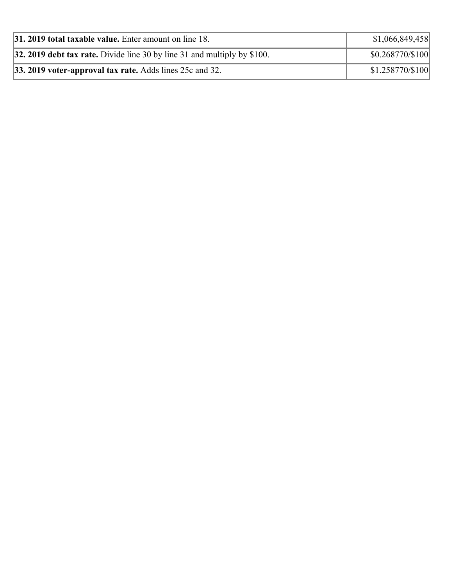| $ 31, 2019$ total taxable value. Enter amount on line 18.                  | \$1,066,849,458  |
|----------------------------------------------------------------------------|------------------|
| 32. 2019 debt tax rate. Divide line 30 by line 31 and multiply by $$100$ . | \$0.268770/\$100 |
| $ 33.2019$ voter-approval tax rate. Adds lines 25c and 32.                 | \$1.258770/\$100 |